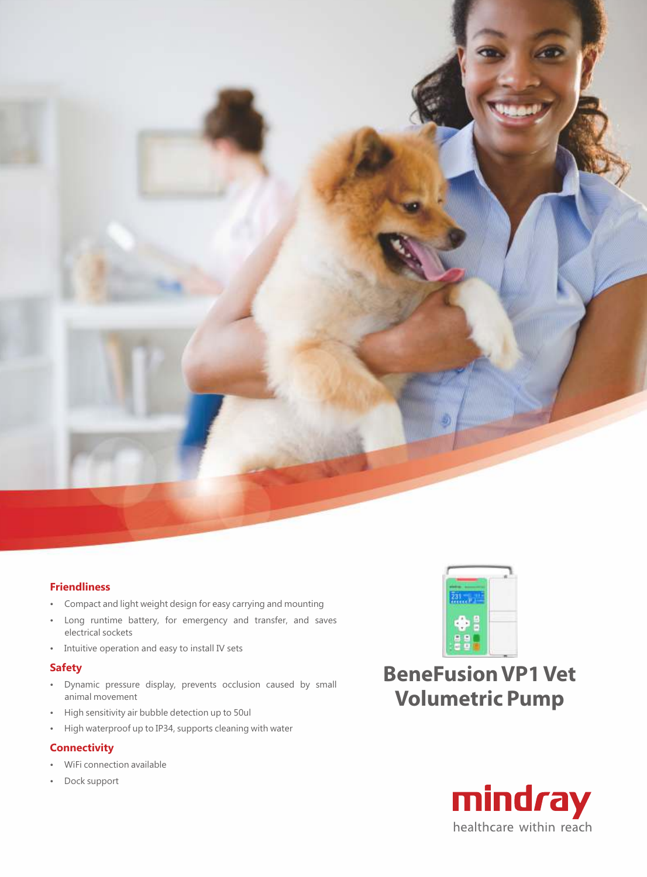

## **Friendliness**

- Compact and light weight design for easy carrying and mounting
- Long runtime battery, for emergency and transfer, and saves electrical sockets
- Intuitive operation and easy to install IV sets

## **Safety**

- Dynamic pressure display, prevents occlusion caused by small animal movement
- High sensitivity air bubble detection up to 50ul
- High waterproof up to IP34, supports cleaning with water

## **Connectivity**

- WiFi connection available
- Dock support



**BeneFusion VP1 Vet Volumetric Pump**